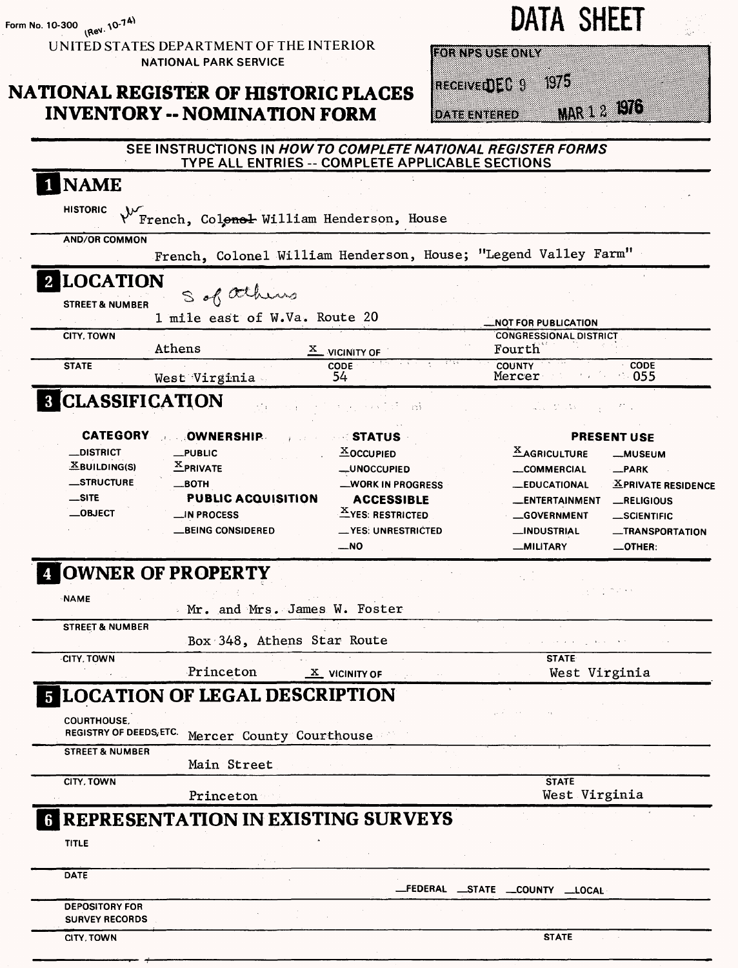**Form No. 10-300**

UNITED STATES DEPARTMENT OF THE INTERIOR **NATIONAL PARK SERVICE** 

# **NATIONAL REGISTER OF HISTORIC PLACES INVENTORY -- NOMINATION FORM**

| DATA | <b>SHEET</b> |
|------|--------------|
|------|--------------|

**FOR NPS USE ONLY** 

RECEIVEDED 9  $Wb$ 

**DATE ENTERED** 

MAR 1 2 1976

| <b>NAME</b>                                                                                 |                                                            |
|---------------------------------------------------------------------------------------------|------------------------------------------------------------|
| <b>HISTORIC</b>                                                                             |                                                            |
| $\sqrt{\mathcal{M}_{\mathrm{F}}}$<br>French, Colenel William Henderson, House               |                                                            |
| <b>AND/OR COMMON</b>                                                                        |                                                            |
| French, Colonel William Henderson, House; "Legend Valley Farm"                              |                                                            |
| <b>2 LOCATION</b>                                                                           |                                                            |
| S of athens<br><b>STREET &amp; NUMBER</b>                                                   |                                                            |
| 1 mile east of W.Va. Route 20                                                               | <b>NOT FOR PUBLICATION</b>                                 |
| <b>CITY, TOWN</b>                                                                           | <b>CONGRESSIONAL DISTRICT</b>                              |
| Athens<br>$\underline{x}$ vicinity of                                                       | Fourth                                                     |
| <b>STATE</b><br>CODE<br>54                                                                  | <b>COUNTY</b><br><b>CODE</b><br>Mercer<br>$\therefore$ 055 |
| West Virginia                                                                               |                                                            |
| <b>8 CLASSIFICATION</b><br>яřу.<br>- ni                                                     | als d'Os                                                   |
| <b>CATEGORY</b><br><b>OWNERSHIP</b><br><b>STATUS</b>                                        | <b>PRESENT USE</b>                                         |
| __DISTRICT<br><b>XOCCUPIED</b><br>$\_$ PUBLIC                                               | <b>XAGRICULTURE</b><br><b>__MUSEUM</b>                     |
| $X$ BUILDING(S)<br>$X$ PRIVATE<br><b>_UNOCCUPIED</b>                                        | <b>__COMMERCIAL</b><br>$\n  PARK\n$                        |
| <b>__STRUCTURE</b><br>__вотн<br><b>WORK IN PROGRESS</b>                                     | <b>_EDUCATIONAL</b><br><b>XPRIVATE RESIDENCE</b>           |
| $\equiv$ SITE<br><b>PUBLIC ACQUISITION</b><br><b>ACCESSIBLE</b>                             | _ENTERTAINMENT<br>RELIGIOUS                                |
| <b>XYES: RESTRICTED</b><br>$\_$ OBJECT<br><b>N PROCESS</b>                                  | <b>GOVERNMENT</b><br>SCIENTIFIC                            |
| <b>_BEING CONSIDERED</b><br><u>__</u> YES: UNRESTRICTED                                     | <b>__INDUSTRIAL</b><br>__TRANSPORTATION                    |
| $\overline{\phantom{0}}$ NO                                                                 | <b>MILITARY</b><br>$\_$ OTHER:                             |
| <b>4 OWNER OF PROPERTY</b><br><b>NAME</b><br>Mr. and Mrs. James W. Foster                   | 化亚甲氧化物                                                     |
| <b>STREET &amp; NUMBER</b><br>Box 348, Athens Star Route                                    |                                                            |
| <b>CITY, TOWN</b>                                                                           | <b>STATE</b>                                               |
|                                                                                             | West Virginia                                              |
| Princeton<br>$X$ VICINITY OF                                                                |                                                            |
|                                                                                             |                                                            |
|                                                                                             |                                                            |
| <b>COURTHOUSE</b><br>REGISTRY OF DEEDS, ETC.                                                |                                                            |
| Mercer County Courthouse<br><b>STREET &amp; NUMBER</b>                                      |                                                            |
| Main Street                                                                                 |                                                            |
| <b>CITY, TOWN</b>                                                                           | <b>STATE</b>                                               |
| Princeton                                                                                   | West Virginia                                              |
|                                                                                             |                                                            |
|                                                                                             |                                                            |
| <b>TITLE</b>                                                                                |                                                            |
|                                                                                             |                                                            |
| <b>5 LOCATION OF LEGAL DESCRIPTION</b><br><b>REPRESENTATION IN EXISTING SURVEYS</b><br>DATE |                                                            |
|                                                                                             | _FEDERAL __STATE __COUNTY __LOCAL                          |
| <b>DEPOSITORY FOR</b><br><b>SURVEY RECORDS</b>                                              |                                                            |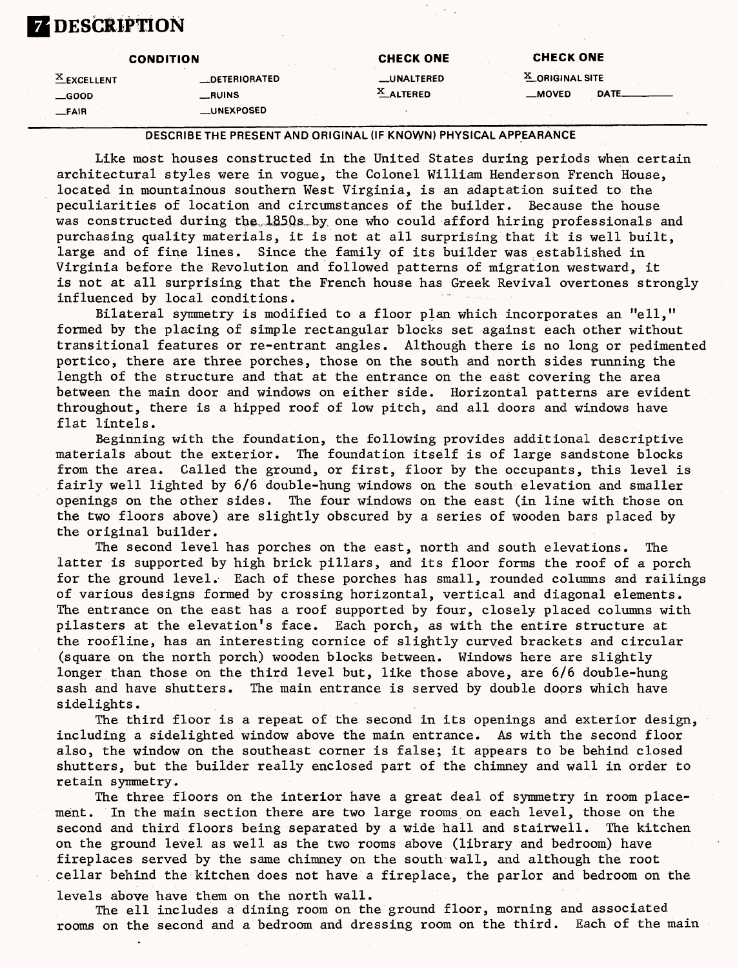# **ZDESCRIPTION**

|               | <b>CONDITION</b>      | <b>CHECK ONE</b>  | <b>CHECK ONE</b>  |             |
|---------------|-----------------------|-------------------|-------------------|-------------|
| $A$ EXCELLENT | <b>__DETERIORATED</b> | <b>LUNALTERED</b> | $X$ ORIGINAL SITE |             |
| $\equiv$ GOOD | _RUINS                | $X$ ALTERED       | __MOVED           | <b>DATE</b> |
| $-FAIR$       | <b>_UNEXPOSED</b>     |                   |                   |             |

#### DESCRIBE THE PRESENT AND ORIGINAL (IF KNOWN) PHYSICAL APPEARANCE

Like most houses constructed in the United States during periods when certain architectural styles were in vogue, the Colonel William Henderson French House, located in mountainous southern West Virginia, is an adaptation suited to the peculiarities of location and circumstances of the builder. Because the house was constructed during the 1850s by one who could afford hiring professionals and purchasing quality materials, it is not at all surprising that it is well built, large and of fine lines. Since the family of its builder was established in Virginia before the Revolution and followed patterns of migration westward, it is not at all surprising that the French house has Greek Revival overtones strongly influenced by local conditions.

Bilateral symmetry is modified to a floor plan which incorporates an "ell," formed by the placing of simple rectangular blocks set against each other without transitional features or re-entrant angles. Although there is no long or pedimented portico, there are three porches, those on the south and north sides running the length of the structure and that at the entrance on the east covering the area between the main door and windows on either side. Horizontal patterns are evident throughout, there is a hipped roof of low pitch, and all doors and windows have flat lintels.

Beginning with the foundation, the following provides additional descriptive materials about the exterior. The foundation itself is of large sandstone blocks from the area. Called the ground, or first, floor by the occupants, this level is fairly well lighted by 6/6 double-hung windows on the south elevation and smaller openings on the other sides. The four windows on the east (in line with those on the two floors above) are slightly obscured by a series of wooden bars placed by the original builder.

The second level has porches on the east, north and south elevations. The latter is supported by high brick pillars, and its floor forms the roof of a porch for the ground level. Each of these porches has small, rounded columns and railings of various designs formed by crossing horizontal, vertical and diagonal elements. The entrance on the east has a roof supported by four, closely placed columns with pilasters at the elevation's face. Each porch, as with the entire structure at the roofline, has an interesting cornice of slightly curved brackets and circular (square on the north porch) wooden blocks between. Windows here are slightly longer than those on the third level but, like those above, are 6/6 double-hung sash and have shutters. The main entrance is served by double doors which have sidelights.

The third floor is a repeat of the second in its openings and exterior design, including a sidelighted window above the main entrance. As with the second floor also, the window on the southeast corner is false; it appears to be behind closed shutters, but the builder really enclosed part of the chimney and wall in order to retain symmetry.

The three floors on the interior have a great deal of symmetry in room placement. In the main section there are two large rooms on each level, those on the second and third floors being separated by a wide hall and stairwell. The kitchen on the ground level as well as the two rooms above (library and bedroom) have fireplaces served by the same chimney on the south wall, and although the root cellar behind the kitchen does not have a fireplace, the parlor and bedroom on the

levels above have them on the north wall.

The ell includes a dining room on the ground floor, morning and associated rooms on the second and a bedroom and dressing room on the third. Each of the main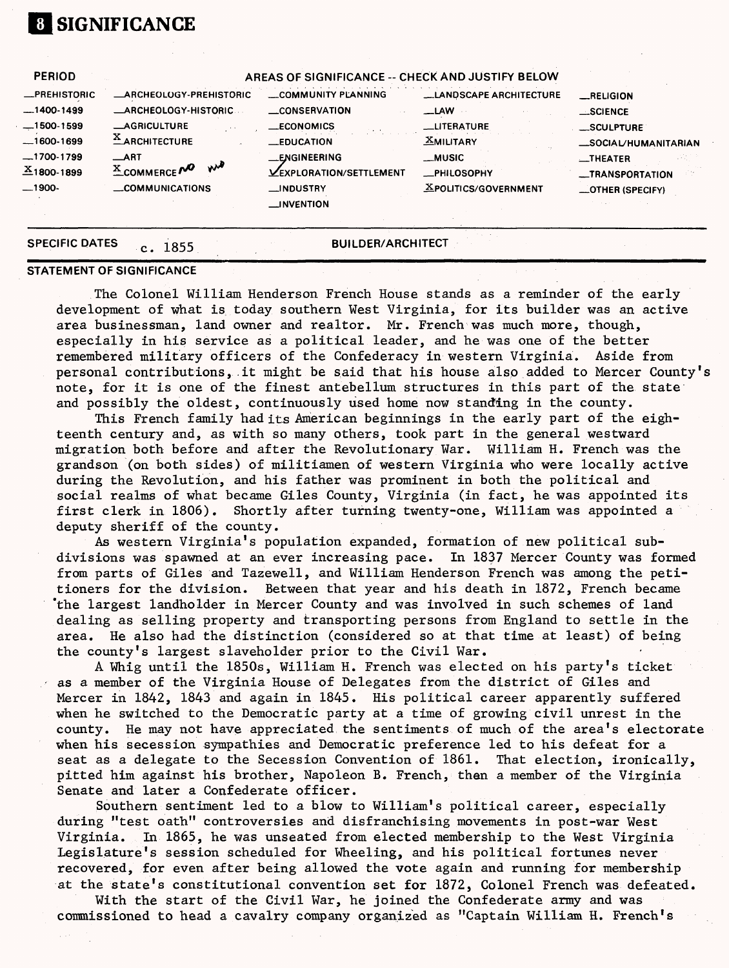#### **[1 SIGNIFICANCE** PERIOD .PREHISTORIC  $-1400-1499$  $-1500-1599$  $-1600-1699$  $-1700-1799$  $X_{1800-1899}$  $-1900-$ A **AREAS OF SIGNIFICANCE -- CHECK AND JUSTIFY BELOW** \_ ARCHEOLOGY-PREHISTORIC —ARCHEOLOGY-HISTORIC —AGRICULTURE  $X$ ARCHITECTURE —ART  $X$ COMMERCE $M^Q$   $N^M$ —COMMUNICATIONS \_COMMUNITY PLANNING —CONSERVATION —ECONOMICS —EDUCATION —ENGINEERING **LEXPLORATION/SETTLEMENT** \_INDUSTRY —INVENTION **\_LANPSCAPE ARCHITECTURE \_I\_AW \_LITERATURE MILITARY \_MUSIC —PHILOSOPHY .^POLITICS/GOVERNMENT —RELIGION —SCIENCE —SCULPTURE —SOCIAL/HUMANITARIAN —THEATER —TRANSPORTATION —OTHER (SPECIFY)**

## C. 1855 **BUILDER/ARCHITECT STATEMENT OF SIGNIFICANCE**

**SPECIFIC DATES** 

The Colonel William Henderson French House stands as a reminder of the early development of what is today southern West Virginia, for its builder was an active area businessman, land owner and realtor. Mr. French was much more, though, especially in his service as a political leader, and he was one of the better remembered military officers of the Confederacy in western Virginia. Aside from personal contributions, it might be said that his house also added to Mercer County's note, for it is one of the finest antebellum structures in this part of the state and possibly the oldest, continuously used home now standing in the county.

This French family had its American beginnings in the early part of the eighteenth century and, as with so many others, took part in the general westward migration both before and after the Revolutionary War. William H. French was the grandson (on both sides) of militiamen of western Virginia who were locally active during the Revolution, and his father was prominent in both the political and social realms of what became Giles County, Virginia (in fact, he was appointed its first clerk in 1806). Shortly after turning twenty-one, William was appointed a deputy sheriff of the county.

As western Virginia's population expanded, formation of new political subdivisions was spawned at an ever increasing pace. In 1837 Mercer County was formed from parts of Giles and Tazewell, and William Henderson French was among the petitioners for the division. Between that year and his death in 1872, French became "the largest landholder in Mercer County and was involved in such schemes of land dealing as selling property and transporting persons from England to settle in the area. He also had the distinction (considered so at that time at least) of being the county's largest slaveholder prior to the Civil War.

A Whig until the 1850s, William H. French was elected on his party's ticket as a member of the Virginia House of Delegates from the district of Giles and Mercer in 1842, 1843 and again in 1845. His political career apparently suffered when he switched to the Democratic party at a time of growing civil unrest in the county. He may not have appreciated the sentiments of much of the area's electorate when his secession sympathies and Democratic preference led to his defeat for a seat as a delegate to the Secession Convention of 1861. That election, ironically, pitted him against his brother, Napoleon B. French, then a member of the Virginia Senate and later a Confederate officer.

Southern sentiment led to a blow to William's political career, especially during "test oath" controversies and disfranchising movements in post-war West Virginia. In 1865, he was unseated from elected membership to the West Virginia Legislature's session scheduled for Wheeling, and his political fortunes never recovered, for even after being allowed the vote again and running for membership at the state's constitutional convention set for 1872, Colonel French was defeated.

With the start of the Civil War, he joined the Confederate army and was commissioned to head a cavalry company organized as "Captain William H. French's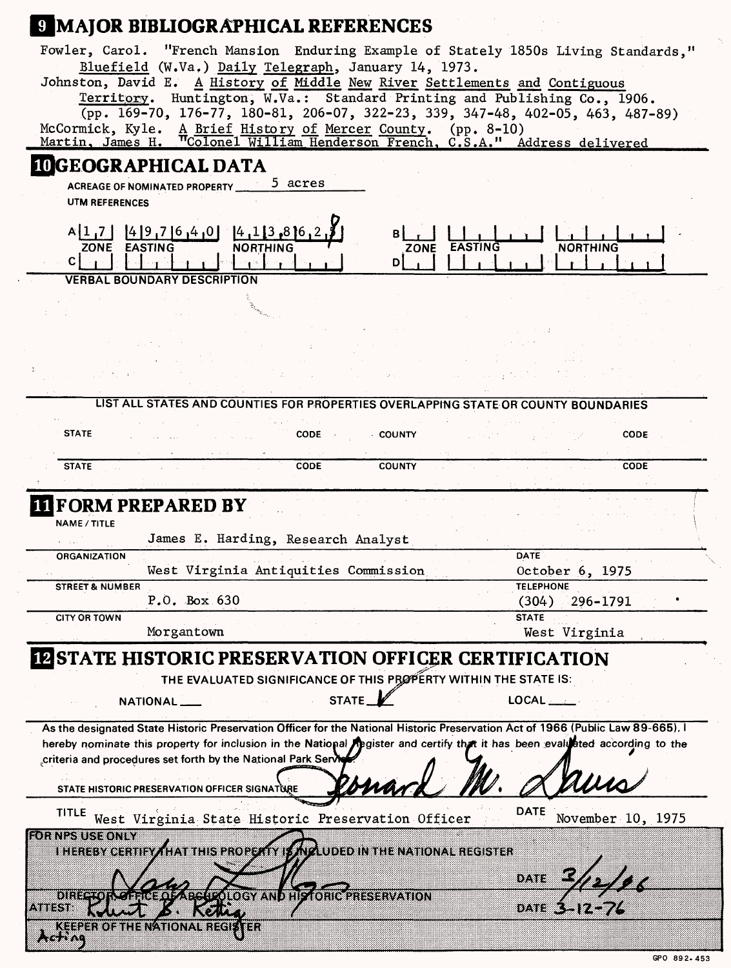# **9 MAJOR BIBLIOGRAPHICAL REFERENCES**

| Fowler, Carol. "French Mansion Enduring Example of Stately 1850s Living Standards."<br>Bluefield (W.Va.) Daily Telegraph, January 14, 1973.<br>Johnston, David E. A History of Middle New River Settlements and Contiguous<br>Territory. Huntington, W.Va.: Standard Printing and Publishing Co., 1906.<br>$(pp. 169-70, 176-77, 180-81, 206-07, 322-23, 339, 347-48, 402-05, 463, 487-89)$<br>McCormick, Kyle. A Brief History of Mercer County. (pp. 8-10)<br>Martin, James H. Tcolonel William Henderson French, C.S.A." Address delivered |                                  |
|-----------------------------------------------------------------------------------------------------------------------------------------------------------------------------------------------------------------------------------------------------------------------------------------------------------------------------------------------------------------------------------------------------------------------------------------------------------------------------------------------------------------------------------------------|----------------------------------|
| <b>IDGEOGRAPHICAL DATA</b>                                                                                                                                                                                                                                                                                                                                                                                                                                                                                                                    |                                  |
| acres ל<br><b>ACREAGE OF NOMINATED PROPERTY</b>                                                                                                                                                                                                                                                                                                                                                                                                                                                                                               |                                  |
| <b>UTM REFERENCES</b>                                                                                                                                                                                                                                                                                                                                                                                                                                                                                                                         |                                  |
|                                                                                                                                                                                                                                                                                                                                                                                                                                                                                                                                               |                                  |
| [4]9,7]6,4,0]<br>$[4, 1]$ 3,816<br>A[1,7]                                                                                                                                                                                                                                                                                                                                                                                                                                                                                                     |                                  |
| EASTING<br><b>ZONE</b><br><b>NORTHING</b><br><b>EASTING</b><br>ZONE                                                                                                                                                                                                                                                                                                                                                                                                                                                                           | NORTHING                         |
| C I<br>D)                                                                                                                                                                                                                                                                                                                                                                                                                                                                                                                                     |                                  |
| VERBAL BOUNDARY DESCRIPTION                                                                                                                                                                                                                                                                                                                                                                                                                                                                                                                   |                                  |
|                                                                                                                                                                                                                                                                                                                                                                                                                                                                                                                                               |                                  |
|                                                                                                                                                                                                                                                                                                                                                                                                                                                                                                                                               |                                  |
|                                                                                                                                                                                                                                                                                                                                                                                                                                                                                                                                               |                                  |
|                                                                                                                                                                                                                                                                                                                                                                                                                                                                                                                                               |                                  |
|                                                                                                                                                                                                                                                                                                                                                                                                                                                                                                                                               |                                  |
|                                                                                                                                                                                                                                                                                                                                                                                                                                                                                                                                               |                                  |
|                                                                                                                                                                                                                                                                                                                                                                                                                                                                                                                                               |                                  |
| LIST ALL STATES AND COUNTIES FOR PROPERTIES OVERLAPPING STATE OR COUNTY BOUNDARIES                                                                                                                                                                                                                                                                                                                                                                                                                                                            |                                  |
|                                                                                                                                                                                                                                                                                                                                                                                                                                                                                                                                               |                                  |
| <b>STATE</b><br><b>CODE</b><br>$\therefore$ COUNTY                                                                                                                                                                                                                                                                                                                                                                                                                                                                                            | CODE                             |
|                                                                                                                                                                                                                                                                                                                                                                                                                                                                                                                                               |                                  |
| <b>STATE</b><br>CODE<br><b>COUNTY</b>                                                                                                                                                                                                                                                                                                                                                                                                                                                                                                         | <b>CODE</b>                      |
|                                                                                                                                                                                                                                                                                                                                                                                                                                                                                                                                               |                                  |
|                                                                                                                                                                                                                                                                                                                                                                                                                                                                                                                                               |                                  |
|                                                                                                                                                                                                                                                                                                                                                                                                                                                                                                                                               |                                  |
| <b>FORM PREPARED BY</b>                                                                                                                                                                                                                                                                                                                                                                                                                                                                                                                       |                                  |
| <b>NAME / TITLE</b>                                                                                                                                                                                                                                                                                                                                                                                                                                                                                                                           |                                  |
| James E. Harding, Research Analyst                                                                                                                                                                                                                                                                                                                                                                                                                                                                                                            |                                  |
| ORGANIZATION                                                                                                                                                                                                                                                                                                                                                                                                                                                                                                                                  | DATE <sup>1</sup>                |
| West Virginia Antiquities Commission                                                                                                                                                                                                                                                                                                                                                                                                                                                                                                          | October 6, 1975                  |
| <b>STREET &amp; NUMBER</b>                                                                                                                                                                                                                                                                                                                                                                                                                                                                                                                    | <b>TELEPHONE</b>                 |
| $P.0.$ Box 630                                                                                                                                                                                                                                                                                                                                                                                                                                                                                                                                | $(304)$ 296-1791                 |
| <b>CITY OR TOWN</b>                                                                                                                                                                                                                                                                                                                                                                                                                                                                                                                           | <b>STATE</b>                     |
| Morgantown                                                                                                                                                                                                                                                                                                                                                                                                                                                                                                                                    | West Virginia                    |
| <b>IN STATE HISTORIC PRESERVATION OFFICER CERTIFICATION</b>                                                                                                                                                                                                                                                                                                                                                                                                                                                                                   |                                  |
|                                                                                                                                                                                                                                                                                                                                                                                                                                                                                                                                               |                                  |
| THE EVALUATED SIGNIFICANCE OF THIS PROPERTY WITHIN THE STATE IS:                                                                                                                                                                                                                                                                                                                                                                                                                                                                              |                                  |
| STATE_<br>NATIONAL __                                                                                                                                                                                                                                                                                                                                                                                                                                                                                                                         | $\mathsf{LOCAL}$                 |
|                                                                                                                                                                                                                                                                                                                                                                                                                                                                                                                                               |                                  |
| As the designated State Historic Preservation Officer for the National Historic Preservation Act of 1966 (Public Law 89-665), I                                                                                                                                                                                                                                                                                                                                                                                                               |                                  |
| hereby nominate this property for inclusion in the National Apgister and certify that it has been evaluated according to the                                                                                                                                                                                                                                                                                                                                                                                                                  |                                  |
| criteria and procedures set forth by the National Park Servi                                                                                                                                                                                                                                                                                                                                                                                                                                                                                  |                                  |
|                                                                                                                                                                                                                                                                                                                                                                                                                                                                                                                                               |                                  |
| STATE HISTORIC PRESERVATION OFFICER SIGNATURE                                                                                                                                                                                                                                                                                                                                                                                                                                                                                                 |                                  |
| <b>TITLE</b><br>West Virginia State Historic Preservation Officer                                                                                                                                                                                                                                                                                                                                                                                                                                                                             | <b>DATE</b><br>November 10, 1975 |
|                                                                                                                                                                                                                                                                                                                                                                                                                                                                                                                                               |                                  |
| <b>EGINESUS EQUIV</b>                                                                                                                                                                                                                                                                                                                                                                                                                                                                                                                         |                                  |
| <b>I HEREBY CERTIFY THAT THIS PROPERTY IS MIGLUDED IN THE NATIONAL REGISTER</b>                                                                                                                                                                                                                                                                                                                                                                                                                                                               |                                  |
|                                                                                                                                                                                                                                                                                                                                                                                                                                                                                                                                               | DATE                             |
| DHI 2006 GEREFO Z GEOGRAM I HEZO HEZHER AN ION                                                                                                                                                                                                                                                                                                                                                                                                                                                                                                |                                  |
| 4988398<br>మ‴∕∕″ొ                                                                                                                                                                                                                                                                                                                                                                                                                                                                                                                             | 84. VIII<br>37 K.W               |
| KEEPER OF THE NATIONAL REGISTER                                                                                                                                                                                                                                                                                                                                                                                                                                                                                                               |                                  |

**6PO 892-453**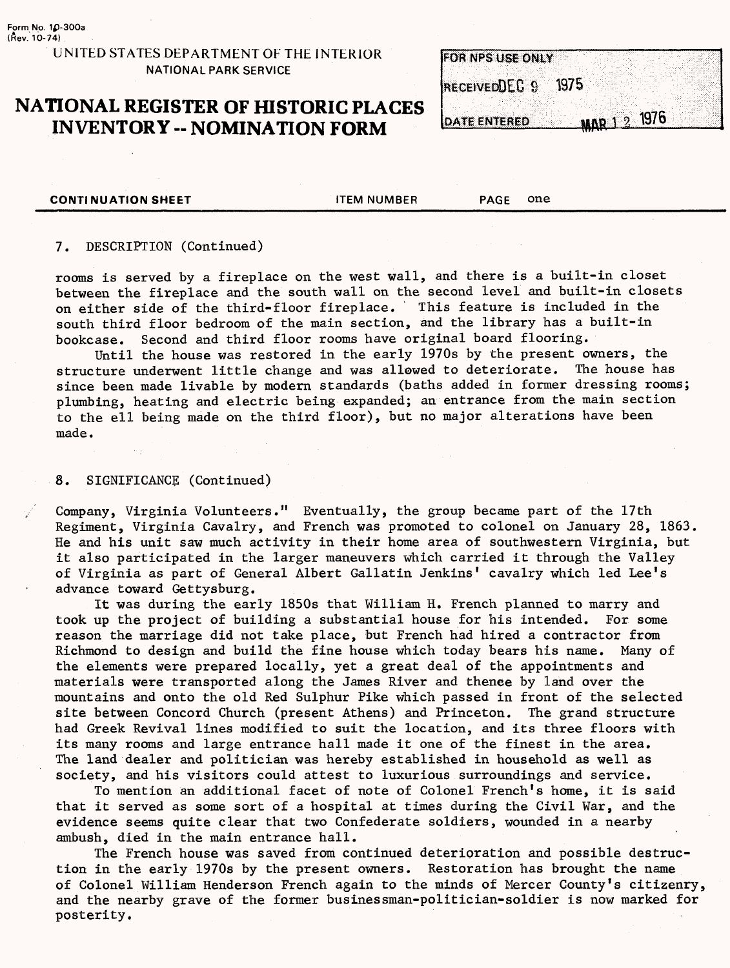#### **UNITED STATES DEPARTMENT OF THE INTERIOR NATIONAL PARK SERVICE**

# **NATIONAL REGISTER OF HISTORIC PLACES INVENTORY - NOMINATION FORM**

**FOR NPS USE ONLY** 1975 ReceivedDEC 9

**DATE ENTERED** 

MAR 1 2 1976

**CONTINUATION SHEET CONTINUATION SHEET** 

#### 7. DESCRIPTION (Continued)

rooms is served by a fireplace on the west wall, and there is a built-in closet between the fireplace and the south wall on the second level and built-in closets on either side of the third-floor fireplace. This feature is included in the south third floor bedroom of the main section, and the library has a built-in bookcase. Second and third floor rooms have original board flooring.

Until the house was restored in the early 1970s by the present owners, the structure underwent little change and was allowed to deteriorate. The house has since been made livable by modern standards (baths added in former dressing rooms; plumbing, heating and electric being expanded; an entrance from the main section to the ell being made on the third floor), but no major alterations have been made.

#### 8. SIGNIFICANCE (Continued)

Company, Virginia Volunteers." Eventually, the group became part of the 17th Regiment, Virginia Cavalry, and French was promoted to colonel on January 28, 1863. He and his unit saw much activity in their home area of southwestern Virginia, but it also participated in the larger maneuvers which carried it through the Valley of Virginia as part of General Albert Gallatin Jenkins' cavalry which led Lee's advance toward Gettysburg.

It was during the early 1850s that William H. French planned to marry and took up the project of building a substantial house for his intended. For some reason the marriage did not take place, but French had hired a contractor from Richmond to design and build the fine house which today bears his name. Many of the elements were prepared locally, yet a great deal of the appointments and materials were transported along the James River and thenee by land over the mountains and onto the old Red Sulphur Pike which passed in front of the selected site between Concord Church (present Athens) and Princeton. The grand structure had Greek Revival lines modified to suit the location, and its three floors with its many rooms and large entrance hall made it one of the finest in the area. The land dealer and politician was hereby established in household as well as society, and his visitors could attest to luxurious surroundings and service.

To mention an additional facet of note of Colonel French's home, it is said that it served as some sort of a hospital at times during the Civil War, and the evidence seems quite clear that two Confederate soldiers, wounded in a nearby ambush, died in the main entrance hall.

The French house was saved from continued deterioration and possible destruction in the early 1970s by the present owners. Restoration has brought the name of Colonel William Henderson French again to the minds of Mercer County's citizenry, and the nearby grave of the former businessman-politician-soldier is now marked for posterity.